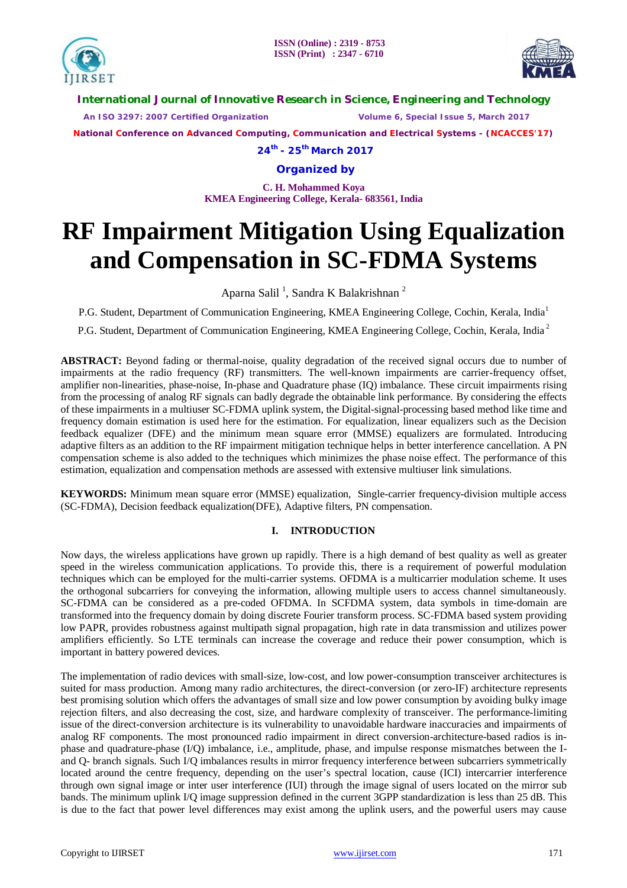



**International Journal of Innovative Research in Science, Engineering and Technology**

 *An ISO 3297: 2007 Certified Organization Volume 6, Special Issue 5, March 2017*

**National Conference on Advanced Computing, Communication and Electrical Systems - (NCACCES'17)**

**24th - 25th March 2017**

## **Organized by**

**C. H. Mohammed Koya KMEA Engineering College, Kerala- 683561, India** 

# **RF Impairment Mitigation Using Equalization and Compensation in SC-FDMA Systems**

Aparna Salil<sup>1</sup>, Sandra K Balakrishnan<sup>2</sup>

P.G. Student, Department of Communication Engineering, KMEA Engineering College, Cochin, Kerala, India<sup>1</sup>

P.G. Student, Department of Communication Engineering, KMEA Engineering College, Cochin, Kerala, India<sup>2</sup>

**ABSTRACT:** Beyond fading or thermal-noise, quality degradation of the received signal occurs due to number of impairments at the radio frequency (RF) transmitters. The well-known impairments are carrier-frequency offset, amplifier non-linearities, phase-noise, In-phase and Quadrature phase (IQ) imbalance. These circuit impairments rising from the processing of analog RF signals can badly degrade the obtainable link performance. By considering the effects of these impairments in a multiuser SC-FDMA uplink system, the Digital-signal-processing based method like time and frequency domain estimation is used here for the estimation. For equalization, linear equalizers such as the Decision feedback equalizer (DFE) and the minimum mean square error (MMSE) equalizers are formulated. Introducing adaptive filters as an addition to the RF impairment mitigation technique helps in better interference cancellation. A PN compensation scheme is also added to the techniques which minimizes the phase noise effect. The performance of this estimation, equalization and compensation methods are assessed with extensive multiuser link simulations.

**KEYWORDS:** Minimum mean square error (MMSE) equalization. Single-carrier frequency-division multiple access (SC-FDMA), Decision feedback equalization(DFE), Adaptive filters, PN compensation.

### **I. INTRODUCTION**

Now days, the wireless applications have grown up rapidly. There is a high demand of best quality as well as greater speed in the wireless communication applications. To provide this, there is a requirement of powerful modulation techniques which can be employed for the multi-carrier systems. OFDMA is a multicarrier modulation scheme. It uses the orthogonal subcarriers for conveying the information, allowing multiple users to access channel simultaneously. SC-FDMA can be considered as a pre-coded OFDMA. In SCFDMA system, data symbols in time-domain are transformed into the frequency domain by doing discrete Fourier transform process. SC-FDMA based system providing low PAPR, provides robustness against multipath signal propagation, high rate in data transmission and utilizes power amplifiers efficiently. So LTE terminals can increase the coverage and reduce their power consumption, which is important in battery powered devices.

The implementation of radio devices with small-size, low-cost, and low power-consumption transceiver architectures is suited for mass production. Among many radio architectures, the direct-conversion (or zero-IF) architecture represents best promising solution which offers the advantages of small size and low power consumption by avoiding bulky image rejection filters, and also decreasing the cost, size, and hardware complexity of transceiver. The performance-limiting issue of the direct-conversion architecture is its vulnerability to unavoidable hardware inaccuracies and impairments of analog RF components. The most pronounced radio impairment in direct conversion-architecture-based radios is inphase and quadrature-phase (I/Q) imbalance, i.e., amplitude, phase, and impulse response mismatches between the Iand Q- branch signals. Such I/Q imbalances results in mirror frequency interference between subcarriers symmetrically located around the centre frequency, depending on the user's spectral location, cause (ICI) intercarrier interference through own signal image or inter user interference (IUI) through the image signal of users located on the mirror sub bands. The minimum uplink I/Q image suppression defined in the current 3GPP standardization is less than 25 dB. This is due to the fact that power level differences may exist among the uplink users, and the powerful users may cause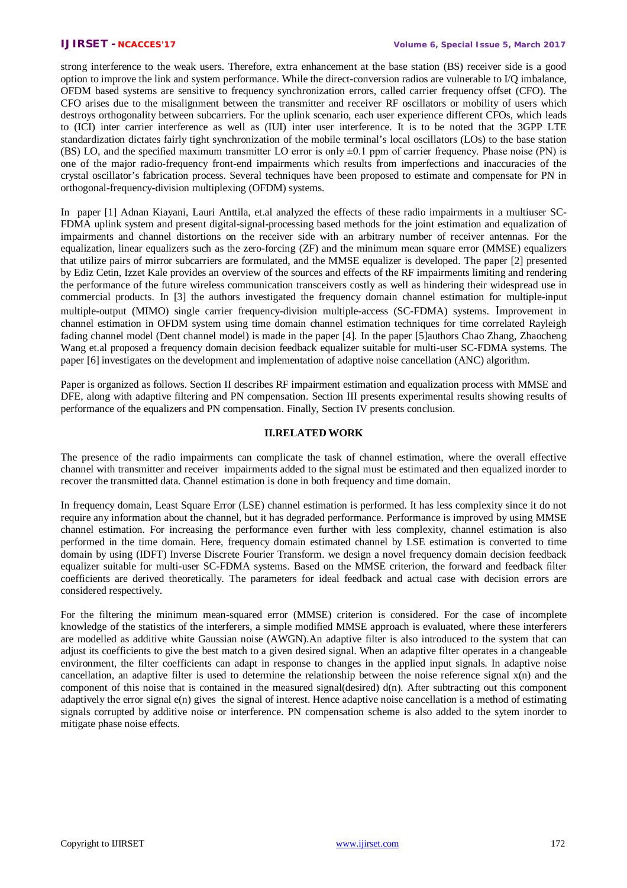strong interference to the weak users. Therefore, extra enhancement at the base station (BS) receiver side is a good option to improve the link and system performance. While the direct-conversion radios are vulnerable to I/Q imbalance, OFDM based systems are sensitive to frequency synchronization errors, called carrier frequency offset (CFO). The CFO arises due to the misalignment between the transmitter and receiver RF oscillators or mobility of users which destroys orthogonality between subcarriers. For the uplink scenario, each user experience different CFOs, which leads to (ICI) inter carrier interference as well as (IUI) inter user interference. It is to be noted that the 3GPP LTE standardization dictates fairly tight synchronization of the mobile terminal's local oscillators (LOs) to the base station (BS) LO, and the specified maximum transmitter LO error is only ±0.1 ppm of carrier frequency. Phase noise (PN) is one of the major radio-frequency front-end impairments which results from imperfections and inaccuracies of the crystal oscillator's fabrication process. Several techniques have been proposed to estimate and compensate for PN in orthogonal-frequency-division multiplexing (OFDM) systems.

In paper [1] Adnan Kiayani, Lauri Anttila, et.al analyzed the effects of these radio impairments in a multiuser SC-FDMA uplink system and present digital-signal-processing based methods for the joint estimation and equalization of impairments and channel distortions on the receiver side with an arbitrary number of receiver antennas. For the equalization, linear equalizers such as the zero-forcing (ZF) and the minimum mean square error (MMSE) equalizers that utilize pairs of mirror subcarriers are formulated, and the MMSE equalizer is developed. The paper [2] presented by Ediz Cetin, Izzet Kale provides an overview of the sources and effects of the RF impairments limiting and rendering the performance of the future wireless communication transceivers costly as well as hindering their widespread use in commercial products. In [3] the authors investigated the frequency domain channel estimation for multiple-input multiple-output (MIMO) single carrier frequency-division multiple-access (SC-FDMA) systems. Improvement in channel estimation in OFDM system using time domain channel estimation techniques for time correlated Rayleigh fading channel model (Dent channel model) is made in the paper [4]. In the paper [5]authors Chao Zhang, Zhaocheng Wang et.al proposed a frequency domain decision feedback equalizer suitable for multi-user SC-FDMA systems. The paper [6] investigates on the development and implementation of adaptive noise cancellation (ANC) algorithm.

Paper is organized as follows. Section II describes RF impairment estimation and equalization process with MMSE and DFE, along with adaptive filtering and PN compensation. Section III presents experimental results showing results of performance of the equalizers and PN compensation. Finally, Section IV presents conclusion.

#### **II.RELATED WORK**

The presence of the radio impairments can complicate the task of channel estimation, where the overall effective channel with transmitter and receiver impairments added to the signal must be estimated and then equalized inorder to recover the transmitted data. Channel estimation is done in both frequency and time domain.

In frequency domain, Least Square Error (LSE) channel estimation is performed. It has less complexity since it do not require any information about the channel, but it has degraded performance. Performance is improved by using MMSE channel estimation. For increasing the performance even further with less complexity, channel estimation is also performed in the time domain. Here, frequency domain estimated channel by LSE estimation is converted to time domain by using (IDFT) Inverse Discrete Fourier Transform. we design a novel frequency domain decision feedback equalizer suitable for multi-user SC-FDMA systems. Based on the MMSE criterion, the forward and feedback filter coefficients are derived theoretically. The parameters for ideal feedback and actual case with decision errors are considered respectively.

For the filtering the minimum mean-squared error (MMSE) criterion is considered. For the case of incomplete knowledge of the statistics of the interferers, a simple modified MMSE approach is evaluated, where these interferers are modelled as additive white Gaussian noise (AWGN).An adaptive filter is also introduced to the system that can adjust its coefficients to give the best match to a given desired signal. When an adaptive filter operates in a changeable environment, the filter coefficients can adapt in response to changes in the applied input signals. In adaptive noise cancellation, an adaptive filter is used to determine the relationship between the noise reference signal x(n) and the component of this noise that is contained in the measured signal(desired)  $d(n)$ . After subtracting out this component adaptively the error signal  $e(n)$  gives the signal of interest. Hence adaptive noise cancellation is a method of estimating signals corrupted by additive noise or interference. PN compensation scheme is also added to the sytem inorder to mitigate phase noise effects.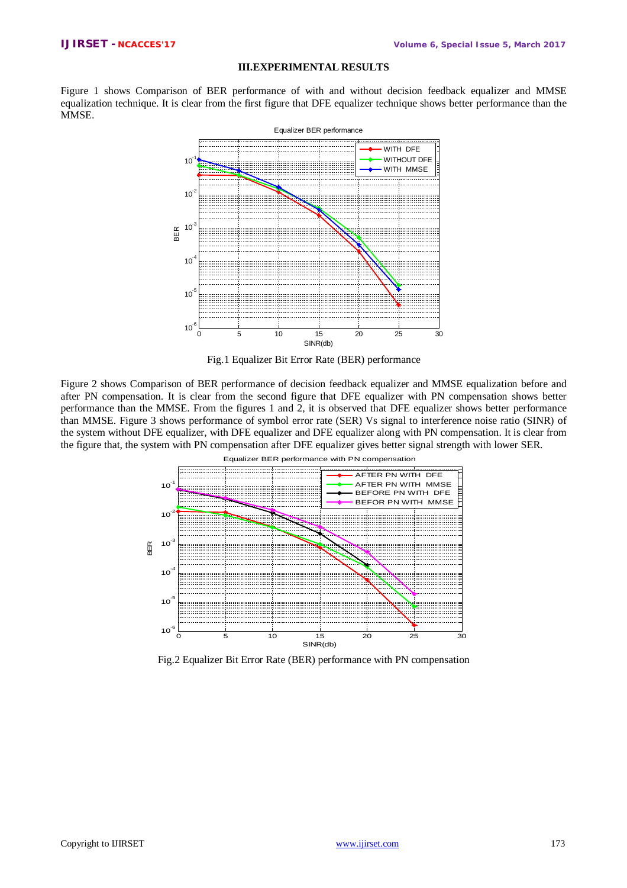#### **III.EXPERIMENTAL RESULTS**

Figure 1 shows Comparison of BER performance of with and without decision feedback equalizer and MMSE equalization technique. It is clear from the first figure that DFE equalizer technique shows better performance than the MMSE.



Fig.1 Equalizer Bit Error Rate (BER) performance

Figure 2 shows Comparison of BER performance of decision feedback equalizer and MMSE equalization before and after PN compensation. It is clear from the second figure that DFE equalizer with PN compensation shows better performance than the MMSE. From the figures 1 and 2, it is observed that DFE equalizer shows better performance than MMSE. Figure 3 shows performance of symbol error rate (SER) Vs signal to interference noise ratio (SINR) of the system without DFE equalizer, with DFE equalizer and DFE equalizer along with PN compensation. It is clear from the figure that, the system with PN compensation after DFE equalizer gives better signal strength with lower SER.



Fig.2 Equalizer Bit Error Rate (BER) performance with PN compensation